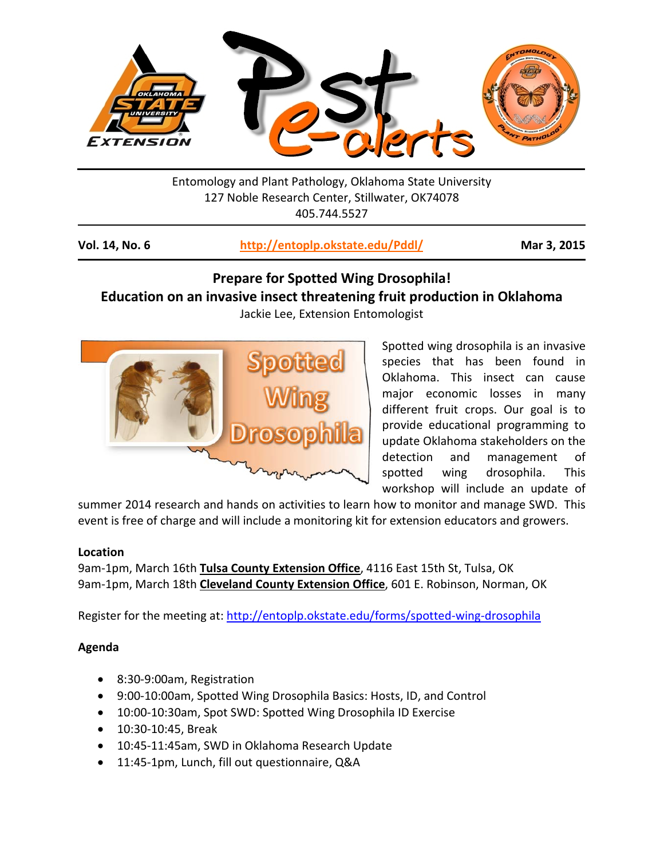

Entomology and Plant Pathology, Oklahoma State University 127 Noble Research Center, Stillwater, OK74078 405.744.5527

| Vol. 14, No. 6 | http://entoplp.okstate.edu/Pddl/ | Mar 3, 2015 |
|----------------|----------------------------------|-------------|
|----------------|----------------------------------|-------------|

## **Prepare for Spotted Wing Drosophila! Education on an invasive insect threatening fruit production in Oklahoma**

Jackie Lee, Extension Entomologist



Spotted wing drosophila is an invasive species that has been found in Oklahoma. This insect can cause major economic losses in many different fruit crops. Our goal is to provide educational programming to update Oklahoma stakeholders on the detection and management of spotted wing drosophila. This workshop will include an update of

summer 2014 research and hands on activities to learn how to monitor and manage SWD. This event is free of charge and will include a monitoring kit for extension educators and growers.

## **Location**

9am-1pm, March 16th **Tulsa County Extension Office**, 4116 East 15th St, Tulsa, OK 9am-1pm, March 18th **Cleveland County Extension Office**, 601 E. Robinson, Norman, OK

Register for the meeting at:<http://entoplp.okstate.edu/forms/spotted-wing-drosophila>

## **Agenda**

- 8:30-9:00am, Registration
- 9:00-10:00am, Spotted Wing Drosophila Basics: Hosts, ID, and Control
- 10:00-10:30am, Spot SWD: Spotted Wing Drosophila ID Exercise
- 10:30-10:45, Break
- 10:45-11:45am, SWD in Oklahoma Research Update
- 11:45-1pm, Lunch, fill out questionnaire, Q&A